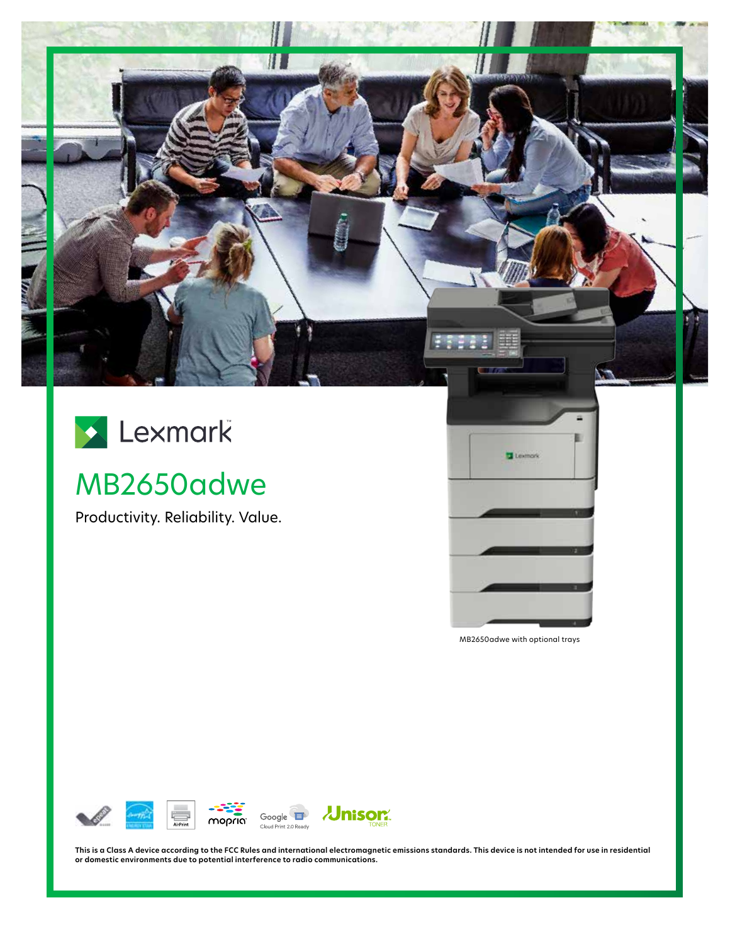# Lexmark

## MB2650adwe

Ш

Productivity. Reliability. Value.

**Jnison** Google  $\blacksquare$ mopria Cloud Print 2.0 Ready

**This is a Class A device according to the FCC Rules and international electromagnetic emissions standards. This device is not intended for use in residential or domestic environments due to potential interference to radio communications.**

MB2650adwe with optional trays

**Z** Lexmork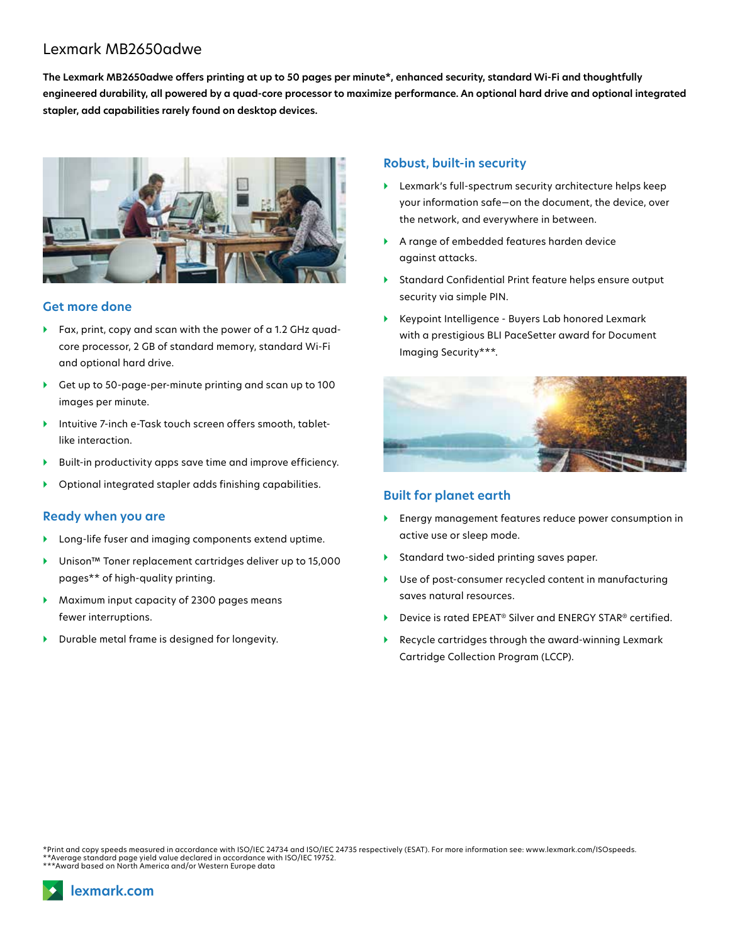## Lexmark MB2650adwe

**The Lexmark MB2650adwe offers printing at up to 50 pages per minute\*, enhanced security, standard Wi-Fi and thoughtfully engineered durability, all powered by a quad-core processor to maximize performance. An optional hard drive and optional integrated stapler, add capabilities rarely found on desktop devices.**



#### **Get more done**

- } Fax, print, copy and scan with the power of a 1.2 GHz quadcore processor, 2 GB of standard memory, standard Wi-Fi and optional hard drive.
- } Get up to 50-page-per-minute printing and scan up to 100 images per minute.
- } Intuitive 7-inch e-Task touch screen offers smooth, tabletlike interaction.
- Built-in productivity apps save time and improve efficiency.
- } Optional integrated stapler adds finishing capabilities.

#### **Ready when you are**

- } Long-life fuser and imaging components extend uptime.
- } Unison™ Toner replacement cartridges deliver up to 15,000 pages\*\* of high-quality printing.
- } Maximum input capacity of 2300 pages means fewer interruptions.
- } Durable metal frame is designed for longevity.

#### **Robust, built-in security**

- } Lexmark's full-spectrum security architecture helps keep your information safe—on the document, the device, over the network, and everywhere in between.
- A range of embedded features harden device against attacks.
- } Standard Confidential Print feature helps ensure output security via simple PIN.
- } Keypoint Intelligence Buyers Lab honored Lexmark with a prestigious BLI PaceSetter award for Document Imaging Security\*\*\*.



#### **Built for planet earth**

- } Energy management features reduce power consumption in active use or sleep mode.
- } Standard two-sided printing saves paper.
- } Use of post-consumer recycled content in manufacturing saves natural resources.
- ▶ Device is rated EPEAT<sup>®</sup> Silver and ENERGY STAR<sup>®</sup> certified.
- } Recycle cartridges through the award-winning Lexmark Cartridge Collection Program (LCCP).

\*Print and copy speeds measured in accordance with ISO/IEC 24734 and ISO/IEC 24735 respectively (ESAT). For more information see: www.lexmark.com/ISOspeeds. \*\*Average standard page yield value declared in accordance with ISO/IEC 19752. \*\*\*Award based on North America and/or Western Europe data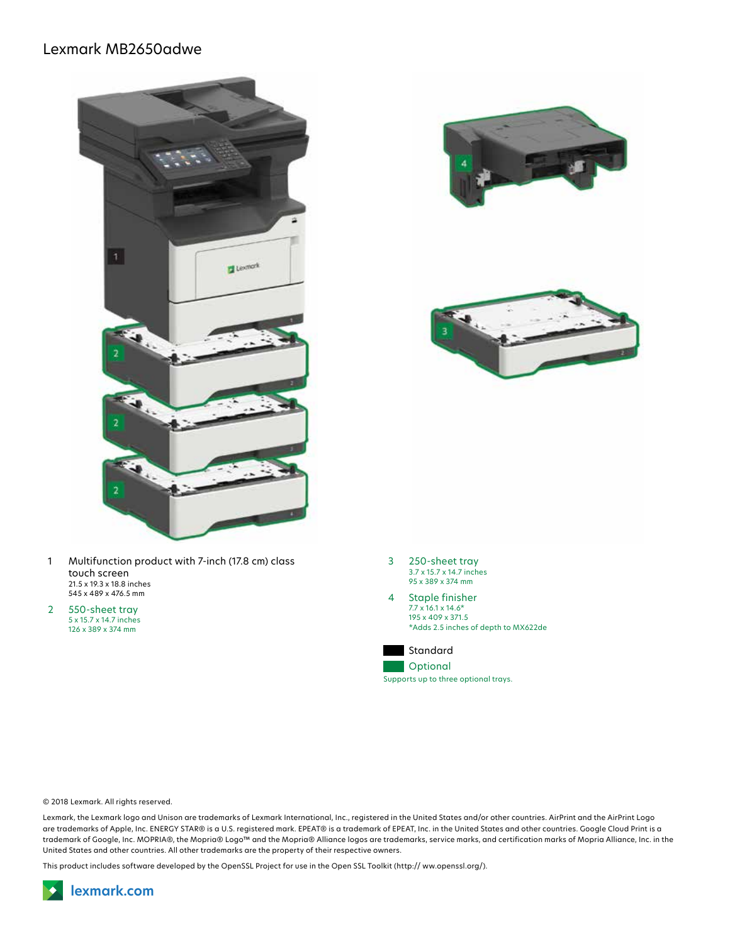### Lexmark MB2650adwe





2 550-sheet tray 5 x 15.7 x 14.7 inches 126 x 389 x 374 mm



- 3 250-sheet tray 3.7 x 15.7 x 14.7 inches 95 x 389 x 374 mm
- 4 Staple finisher  $7.7 \times 16.1 \times 14.6*$ 195 x 409 x 371.5 \*Adds 2.5 inches of depth to MX622de



© 2018 Lexmark. All rights reserved.

Lexmark, the Lexmark logo and Unison are trademarks of Lexmark International, Inc., registered in the United States and/or other countries. AirPrint and the AirPrint Logo are trademarks of Apple, Inc. ENERGY STAR® is a U.S. registered mark. EPEAT® is a trademark of EPEAT, Inc. in the United States and other countries. Google Cloud Print is a trademark of Google, Inc. MOPRIA®, the Mopria® Logo™ and the Mopria® Alliance logos are trademarks, service marks, and certification marks of Mopria Alliance, Inc. in the United States and other countries. All other trademarks are the property of their respective owners.

This product includes software developed by the OpenSSL Project for use in the Open SSL Toolkit (http:// ww.openssl.org/).